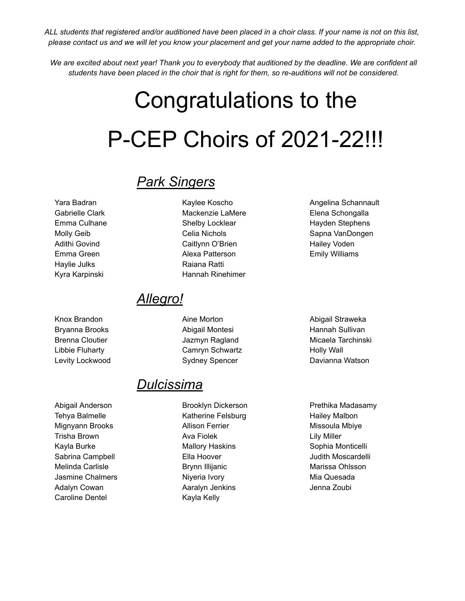ALL students that registered and/or auditioned have been placed in a choir class. If your name is not on this list, please contact us and we will let you know your placement and get your name added to the appropriate choir.

We are excited about next year! Thank you to everybody that auditioned by the deadline. We are confident all students have been placed in the choir that is right for them, so re-auditions will not be considered.

# Congratulations to the P-CEP Choirs of 2021-22!!!

### *Park Singers*

Yara Badran Gabrielle Clark Emma Culhane Molly Geib Adithi Govind Emma Green Haylie Julks Kyra Karpinski

Knox Brandon Bryanna Brooks Brenna Cloutier Libbie Fluharty Levity Lockwood

Abigail Anderson Tehya Balmelle Mignyann Brooks Trisha Brown Kayla Burke Sabrina Campbell Melinda Carlisle Jasmine Chalmers Adalyn Cowan Caroline Dentel

Kaylee Koscho Mackenzie LaMere Shelby Locklear Celia Nichols Caitlynn O'Brien Alexa Patterson Raiana Ratti Hannah Rinehimer

#### *Allegro!*

Aine Morton Abigail Montesi Jazmyn Ragland Camryn Schwartz Sydney Spencer

#### *Dulcissima*

Brooklyn Dickerson Katherine Felsburg Allison Ferrier Ava Fiolek Mallory Haskins Ella Hoover Brynn Illijanic Niyeria Ivory Aaralyn Jenkins Kayla Kelly

Angelina Schannault Elena Schongalla Hayden Stephens Sapna VanDongen Hailey Voden Emily Williams

Abigail Straweka Hannah Sullivan Micaela Tarchinski Holly Wall Davianna Watson

Prethika Madasamy Hailey Malbon Missoula Mbiye Lily Miller Sophia Monticelli Judith Moscardelli Marissa Ohlsson Mia Quesada Jenna Zoubi